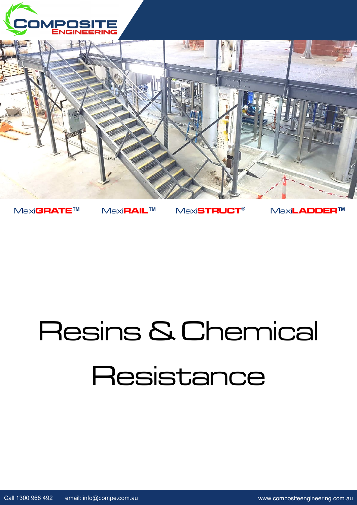



Maxi**GRATE™** Maxi**RAIL™** Maxi**STRUCT®** Maxi**LADDER™**

# Resins & Chemical **Resistance**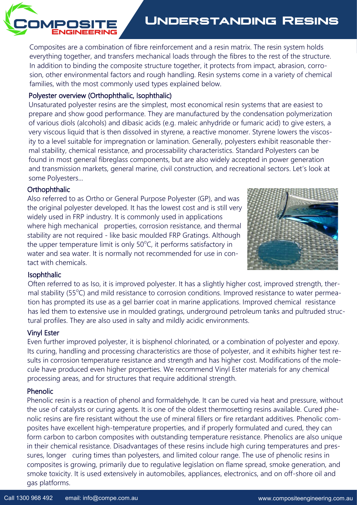

# **Understanding Resins**

Composites are a combination of fibre reinforcement and a resin matrix. The resin system holds everything together, and transfers mechanical loads through the fibres to the rest of the structure. In addition to binding the composite structure together, it protects from impact, abrasion, corrosion, other environmental factors and rough handling. Resin systems come in a variety of chemical families, with the most commonly used types explained below.

### Polyester overview (Orthophthalic, Isophthalic)

Unsaturated polyester resins are the simplest, most economical resin systems that are easiest to prepare and show good performance. They are manufactured by the condensation polymerization of various diols (alcohols) and dibasic acids (e.g. maleic anhydride or fumaric acid) to give esters, a very viscous liquid that is then dissolved in styrene, a reactive monomer. Styrene lowers the viscosity to a level suitable for impregnation or lamination. Generally, polyesters exhibit reasonable thermal stability, chemical resistance, and processability characteristics. Standard Polyesters can be found in most general fibreglass components, but are also widely accepted in power generation and transmission markets, general marine, civil construction, and recreational sectors. Let's look at some Polyesters...

#### **Orthophthalic**

Also referred to as Ortho or General Purpose Polyester (GP), and was the original polyester developed. It has the lowest cost and is still very widely used in FRP industry. It is commonly used in applications where high mechanical properties, corrosion resistance, and thermal stability are not required - like basic moulded FRP Gratings. Although the upper temperature limit is only  $50^{\circ}$ C, it performs satisfactory in water and sea water. It is normally not recommended for use in contact with chemicals.



#### Isophthalic

Often referred to as Iso, it is improved polyester. It has a slightly higher cost, improved strength, thermal stability (55°C) and mild resistance to corrosion conditions. Improved resistance to water permeation has prompted its use as a gel barrier coat in marine applications. Improved chemical resistance has led them to extensive use in moulded gratings, underground petroleum tanks and pultruded structural profiles. They are also used in salty and mildly acidic environments.

## Vinyl Ester

Even further improved polyester, it is bisphenol chlorinated, or a combination of polyester and epoxy. Its curing, handling and processing characteristics are those of polyester, and it exhibits higher test results in corrosion temperature resistance and strength and has higher cost. Modifications of the molecule have produced even higher properties. We recommend Vinyl Ester materials for any chemical processing areas, and for structures that require additional strength.

#### Phenolic

Phenolic resin is a reaction of phenol and formaldehyde. It can be cured via heat and pressure, without the use of catalysts or curing agents. It is one of the oldest thermosetting resins available. Cured phenolic resins are fire resistant without the use of mineral fillers or fire retardant additives. Phenolic composites have excellent high-temperature properties, and if properly formulated and cured, they can form carbon to carbon composites with outstanding temperature resistance. Phenolics are also unique in their chemical resistance. Disadvantages of these resins include high curing temperatures and pressures, longer curing times than polyesters, and limited colour range. The use of phenolic resins in composites is growing, primarily due to regulative legislation on flame spread, smoke generation, and smoke toxicity. It is used extensively in automobiles, appliances, electronics, and on off-shore oil and gas platforms.